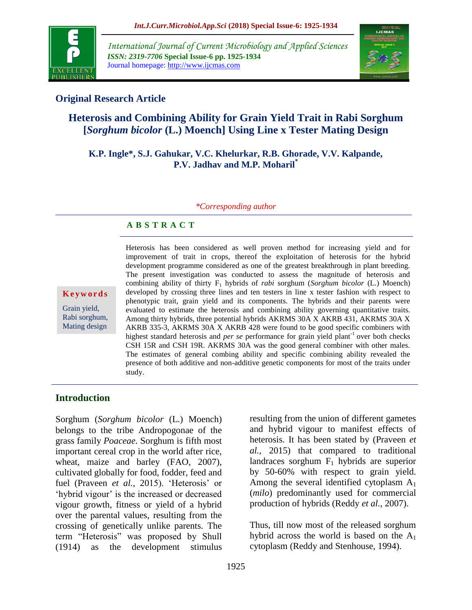

*International Journal of Current Microbiology and Applied Sciences ISSN: 2319-7706* **Special Issue-6 pp. 1925-1934** Journal homepage: http://www.ijcmas.com



### **Original Research Article**

# **Heterosis and Combining Ability for Grain Yield Trait in Rabi Sorghum [***Sorghum bicolor* **(L.) Moench] Using Line x Tester Mating Design**

#### **K.P. Ingle\*, S.J. Gahukar, V.C. Khelurkar, R.B. Ghorade, V.V. Kalpande, P.V. Jadhav and M.P. Moharil\***

#### *\*Corresponding author*

#### **A B S T R A C T**

**K e y w o r d s**

Grain yield, Rabi sorghum, Mating design

Heterosis has been considered as well proven method for increasing yield and for improvement of trait in crops, thereof the exploitation of heterosis for the hybrid development programme considered as one of the greatest breakthrough in plant breeding. The present investigation was conducted to assess the magnitude of heterosis and combining ability of thirty F<sup>1</sup> hybrids of *rabi* sorghum (*Sorghum bicolor* (L.) Moench) developed by crossing three lines and ten testers in line x tester fashion with respect to phenotypic trait, grain yield and its components. The hybrids and their parents were evaluated to estimate the heterosis and combining ability governing quantitative traits. Among thirty hybrids, three potential hybrids AKRMS 30A X AKRB 431, AKRMS 30A X AKRB 335-3, AKRMS 30A X AKRB 428 were found to be good specific combiners with highest standard heterosis and *per se* performance for grain yield plant<sup>-1</sup> over both checks CSH 15R and CSH 19R. AKRMS 30A was the good general combiner with other males. The estimates of general combing ability and specific combining ability revealed the presence of both additive and non-additive genetic components for most of the traits under study.

#### **Introduction**

Sorghum (*Sorghum bicolor* (L.) Moench) belongs to the tribe Andropogonae of the grass family *Poaceae*. Sorghum is fifth most important cereal crop in the world after rice, wheat, maize and barley (FAO, 2007), cultivated globally for food, fodder, feed and fuel (Praveen *et al.*, 2015). 'Heterosis' or 'hybrid vigour' is the increased or decreased vigour growth, fitness or yield of a hybrid over the parental values, resulting from the crossing of genetically unlike parents. The term "Heterosis" was proposed by Shull (1914) as the development stimulus

resulting from the union of different gametes and hybrid vigour to manifest effects of heterosis. It has been stated by (Praveen *et al.,* 2015) that compared to traditional landraces sorghum  $F_1$  hybrids are superior by 50-60% with respect to grain yield. Among the several identified cytoplasm  $A_1$ (*milo*) predominantly used for commercial production of hybrids (Reddy *et al.,* 2007).

Thus, till now most of the released sorghum hybrid across the world is based on the  $A_1$ cytoplasm (Reddy and Stenhouse, 1994).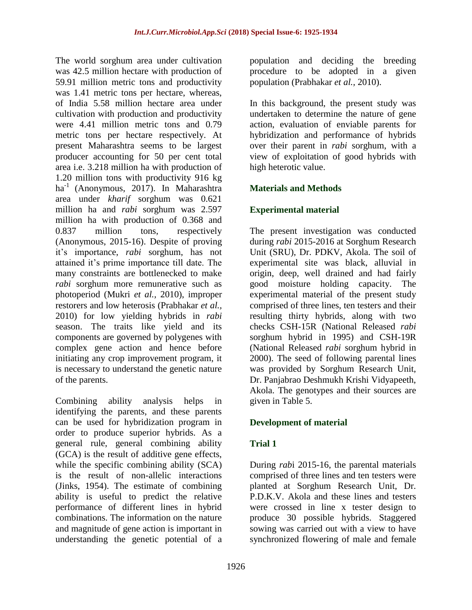The world sorghum area under cultivation was 42.5 million hectare with production of 59.91 million metric tons and productivity was 1.41 metric tons per hectare, whereas, of India 5.58 million hectare area under cultivation with production and productivity were 4.41 million metric tons and 0.79 metric tons per hectare respectively. At present Maharashtra seems to be largest producer accounting for 50 per cent total area i.e. 3.218 million ha with production of 1.20 million tons with productivity 916 kg ha<sup>-1</sup> (Anonymous, 2017). In Maharashtra area under *kharif* sorghum was 0.621 million ha and *rabi* sorghum was 2.597 million ha with production of 0.368 and 0.837 million tons, respectively (Anonymous, 2015-16). Despite of proving it"s importance, *rabi* sorghum, has not attained it"s prime importance till date. The many constraints are bottlenecked to make *rabi* sorghum more remunerative such as photoperiod (Mukri *et al.,* 2010), improper restorers and low heterosis (Prabhakar *et al.,* 2010) for low yielding hybrids in *rabi*  season. The traits like yield and its components are governed by polygenes with complex gene action and hence before initiating any crop improvement program, it is necessary to understand the genetic nature of the parents.

Combining ability analysis helps in identifying the parents, and these parents can be used for hybridization program in order to produce superior hybrids. As a general rule, general combining ability (GCA) is the result of additive gene effects, while the specific combining ability (SCA) is the result of non-allelic interactions (Jinks, 1954). The estimate of combining ability is useful to predict the relative performance of different lines in hybrid combinations. The information on the nature and magnitude of gene action is important in understanding the genetic potential of a

population and deciding the breeding procedure to be adopted in a given population (Prabhakar *et al.,* 2010).

In this background, the present study was undertaken to determine the nature of gene action, evaluation of enviable parents for hybridization and performance of hybrids over their parent in *rabi* sorghum, with a view of exploitation of good hybrids with high heterotic value.

## **Materials and Methods**

### **Experimental material**

The present investigation was conducted during *rabi* 2015-2016 at Sorghum Research Unit (SRU), Dr. PDKV, Akola. The soil of experimental site was black, alluvial in origin, deep, well drained and had fairly good moisture holding capacity. The experimental material of the present study comprised of three lines, ten testers and their resulting thirty hybrids, along with two checks CSH-15R (National Released *rabi*  sorghum hybrid in 1995) and CSH-19R (National Released *rabi* sorghum hybrid in 2000). The seed of following parental lines was provided by Sorghum Research Unit, Dr. Panjabrao Deshmukh Krishi Vidyapeeth, Akola. The genotypes and their sources are given in Table 5.

### **Development of material**

### **Trial 1**

During *rab*i 2015-16, the parental materials comprised of three lines and ten testers were planted at Sorghum Research Unit, Dr. P.D.K.V. Akola and these lines and testers were crossed in line x tester design to produce 30 possible hybrids. Staggered sowing was carried out with a view to have synchronized flowering of male and female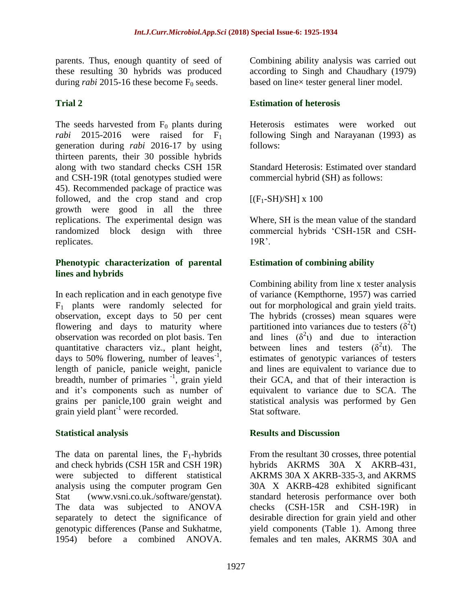parents. Thus, enough quantity of seed of these resulting 30 hybrids was produced during *rabi* 2015-16 these become  $\overline{F}_0$  seeds.

### **Trial 2**

The seeds harvested from  $F_0$  plants during *rabi* 2015-2016 were raised for  $F_1$ generation during *rabi* 2016-17 by using thirteen parents, their 30 possible hybrids along with two standard checks CSH 15R and CSH-19R (total genotypes studied were 45). Recommended package of practice was followed, and the crop stand and crop growth were good in all the three replications. The experimental design was randomized block design with three replicates.

#### **Phenotypic characterization of parental lines and hybrids**

In each replication and in each genotype five  $F_1$  plants were randomly selected for observation, except days to 50 per cent flowering and days to maturity where observation was recorded on plot basis. Ten quantitative characters viz., plant height, days to 50% flowering, number of leaves<sup>-1</sup>, length of panicle, panicle weight, panicle breadth, number of primaries <sup>-1</sup>, grain yield and it"s components such as number of grains per panicle,100 grain weight and grain yield plant<sup>-1</sup> were recorded.

### **Statistical analysis**

The data on parental lines, the  $F_1$ -hybrids and check hybrids (CSH 15R and CSH 19R) were subjected to different statistical analysis using the computer program Gen Stat (www.vsni.co.uk./software/genstat). The data was subjected to ANOVA separately to detect the significance of genotypic differences (Panse and Sukhatme, 1954) before a combined ANOVA.

Combining ability analysis was carried out according to Singh and Chaudhary (1979) based on line× tester general liner model.

### **Estimation of heterosis**

Heterosis estimates were worked out following Singh and Narayanan (1993) as follows:

Standard Heterosis: Estimated over standard commercial hybrid (SH) as follows:

 $[(F_1-SH)/SH] \times 100$ 

Where, SH is the mean value of the standard commercial hybrids "CSH-15R and CSH- $19R$ .

## **Estimation of combining ability**

Combining ability from line x tester analysis of variance (Kempthorne, 1957) was carried out for morphological and grain yield traits. The hybrids (crosses) mean squares were partitioned into variances due to testers  $(\delta^2 t)$ and lines  $(\delta^2)$  and due to interaction between lines and testers  $(\delta^2 \text{t})$ . The estimates of genotypic variances of testers and lines are equivalent to variance due to their GCA, and that of their interaction is equivalent to variance due to SCA. The statistical analysis was performed by Gen Stat software.

### **Results and Discussion**

From the resultant 30 crosses, three potential hybrids AKRMS 30A X AKRB-431, AKRMS 30A X AKRB-335-3, and AKRMS 30A X AKRB-428 exhibited significant standard heterosis performance over both checks (CSH-15R and CSH-19R) in desirable direction for grain yield and other yield components (Table 1). Among three females and ten males, AKRMS 30A and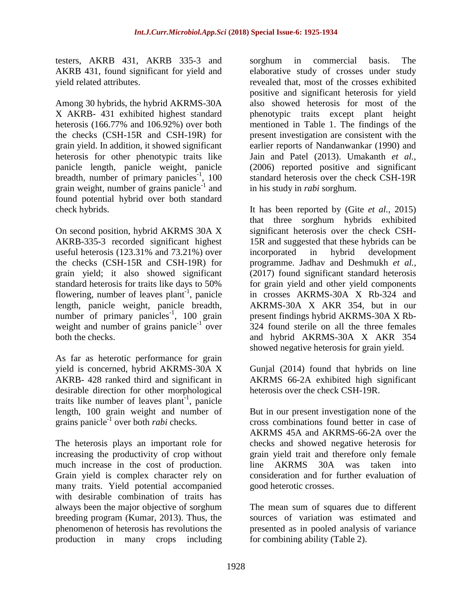testers, AKRB 431, AKRB 335-3 and AKRB 431, found significant for yield and yield related attributes.

Among 30 hybrids, the hybrid AKRMS-30A X AKRB- 431 exhibited highest standard heterosis (166.77% and 106.92%) over both the checks (CSH-15R and CSH-19R) for grain yield. In addition, it showed significant heterosis for other phenotypic traits like panicle length, panicle weight, panicle breadth, number of primary panicles<sup>-1</sup>, 100 grain weight, number of grains panicle<sup>-1</sup> and found potential hybrid over both standard check hybrids.

On second position, hybrid AKRMS 30A X AKRB-335-3 recorded significant highest useful heterosis (123.31% and 73.21%) over the checks (CSH-15R and CSH-19R) for grain yield; it also showed significant standard heterosis for traits like days to 50% flowering, number of leaves plant<sup>-1</sup>, panicle length, panicle weight, panicle breadth, number of primary panicles<sup>-1</sup>, 100 grain weight and number of grains panicle<sup>-1</sup> over both the checks.

As far as heterotic performance for grain yield is concerned, hybrid AKRMS-30A X AKRB- 428 ranked third and significant in desirable direction for other morphological traits like number of leaves plant<sup>-1</sup>, panicle length, 100 grain weight and number of grains panicle-1 over both *rabi* checks.

The heterosis plays an important role for increasing the productivity of crop without much increase in the cost of production. Grain yield is complex character rely on many traits. Yield potential accompanied with desirable combination of traits has always been the major objective of sorghum breeding program (Kumar, 2013). Thus, the phenomenon of heterosis has revolutions the production in many crops including

sorghum in commercial basis. The elaborative study of crosses under study revealed that, most of the crosses exhibited positive and significant heterosis for yield also showed heterosis for most of the phenotypic traits except plant height mentioned in Table 1. The findings of the present investigation are consistent with the earlier reports of Nandanwankar (1990) and Jain and Patel (2013). Umakanth *et al.,* (2006) reported positive and significant standard heterosis over the check CSH-19R in his study in *rabi* sorghum.

It has been reported by (Gite *et al.,* 2015) that three sorghum hybrids exhibited significant heterosis over the check CSH-15R and suggested that these hybrids can be incorporated in hybrid development programme. Jadhav and Deshmukh *et al.,* (2017) found significant standard heterosis for grain yield and other yield components in crosses AKRMS-30A X Rb-324 and AKRMS-30A X AKR 354, but in our present findings hybrid AKRMS-30A X Rb-324 found sterile on all the three females and hybrid AKRMS-30A X AKR 354 showed negative heterosis for grain yield.

Gunjal (2014) found that hybrids on line AKRMS 66-2A exhibited high significant heterosis over the check CSH-19R.

But in our present investigation none of the cross combinations found better in case of AKRMS 45A and AKRMS-66-2A over the checks and showed negative heterosis for grain yield trait and therefore only female line AKRMS 30A was taken into consideration and for further evaluation of good heterotic crosses.

The mean sum of squares due to different sources of variation was estimated and presented as in pooled analysis of variance for combining ability (Table 2).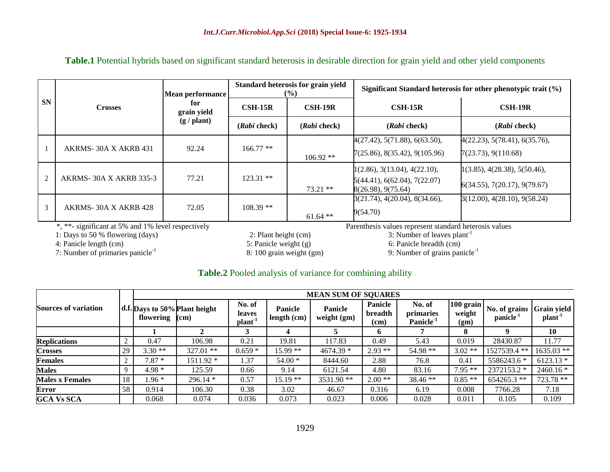| <b>SN</b>      |                               | Mean performance   |                  | Standard heterosis for grain yield<br>$\frac{9}{6}$ | Significant Standard heterosis for other phenotypic trait $(\% )$ |                               |  |
|----------------|-------------------------------|--------------------|------------------|-----------------------------------------------------|-------------------------------------------------------------------|-------------------------------|--|
|                | <b>Crosses</b>                | for<br>grain yield | $\text{CSH-15R}$ | $\overline{\text{CSH-19R}}$                         | $\text{CSH-15R}$                                                  | $\text{CSH-19R}$              |  |
|                |                               | (g / plant)        | (Rabi check)     | (Rabi check)                                        | (Rabi check)                                                      | (Rabi check)                  |  |
|                |                               |                    |                  |                                                     | 4(27.42), 5(71.88), 6(63.50),                                     | 4(22.23), 5(78.41), 6(35.76), |  |
|                | AKRMS-30A X AKRB 431          | 92.24              | $166.77**$       | $106.92**$                                          | 7(25.86), 8(35.42), 9(105.96)                                     | 7(23.73), 9(110.68)           |  |
|                |                               |                    |                  |                                                     | 1(2.86), 3(13.04), 4(22.10),                                      | 1(3.85), 4(28.38), 5(50.46),  |  |
| $\mathfrak{D}$ | <b>AKRMS-30A X AKRB 335-3</b> | 77.21              | $123.31$ **      | $73.21$ **                                          | 5(44.41), 6(62.04), 7(22.07)<br>8(26.98), 9(75.64)                | 6(34.55), 7(20.17), 9(79.67)  |  |
|                |                               |                    |                  |                                                     | 3(21.74), 4(20.04), 8(34.66),                                     | (12.00), 4(28.10), 9(58.24)   |  |
| $\mathfrak{Z}$ | AKRMS-30A X AKRB 428          | 72.05              | $108.39**$       | $61.64**$                                           | 9(54.70)                                                          |                               |  |

#### **Table.1** Potential hybrids based on significant standard heterosis in desirable direction for grain yield and other yield components

\*, \*\*- significant at 5% and 1% level respectively Parenthesis values represent standard heterosis values

1: Days to 50 % flowering (days) 2: Plant height (cm) 3: Number of leaves plant<sup>-1</sup><br>4: Panicle length (cm) 5: Panicle weight (g) 6: Panicle breadth (cm)

7: Number of primaries panicle-1

 $6:$  Panicle breadth  $\overline{(cm)}$ 

#### 8: 100 grain weight (gm) 9: Number of grains panicle<sup>-1</sup>

#### **Table.2** Pooled analysis of variance for combining ability

|                             |             | <b>MEAN SUM OF SQUARES</b> |                               |                                        |                        |                        |                            |                                              |                               |                                        |                                    |  |
|-----------------------------|-------------|----------------------------|-------------------------------|----------------------------------------|------------------------|------------------------|----------------------------|----------------------------------------------|-------------------------------|----------------------------------------|------------------------------------|--|
| <b>Sources of variation</b> |             | flowering $(cm)$           | d.f. Days to 50% Plant height | No. of<br>leaves<br>plant <sup>1</sup> | Panicle<br>length (cm) | Panicle<br>weight (gm) | Panicle<br>breadth<br>(cm) | No. of<br>primaries<br>Panicle <sup>-1</sup> | $100$ grain<br>weight<br>(gm) | No. of grains<br>panicle <sup>-1</sup> | Grain yield<br>plant <sup>-1</sup> |  |
|                             |             |                            |                               |                                        |                        |                        | $\mathbf b$                |                                              | 8                             | 0                                      | 10                                 |  |
| <b>Replications</b>         | ∠           | 0.47                       | 106.98                        | 0.21                                   | 19.81                  | 117.83                 | 0.49                       | 5.43                                         | 0.019                         | 28430.87                               | 11.77                              |  |
| <b>Crosses</b>              | 29          | $3.30**$                   | $327.01$ **                   | $0.659*$                               | 15.99 **               | 4674.39 *              | $2.93**$                   | 54.98 **                                     | $3.02**$                      | 1527539.4 **                           | 1635.03 **                         |  |
| Females                     |             | $7.87*$                    | $1511.92*$                    | 1.37                                   | $54.00*$               | 8444.60                | 2.88                       | 76.8                                         | 0.41                          | 5586243.6 *                            | $6123.13*$                         |  |
| <b>Males</b>                | $\mathbf Q$ | $4.98*$                    | 125.59                        | 0.66                                   | 9.14                   | 6121.54                | 4.80                       | 83.16                                        | $7.95**$                      | 2372153.2 *                            | $2460.16*$                         |  |
| <b>Males x Females</b>      | 18          | $.96*$                     | $296.14*$                     | 0.57                                   | $15.19**$              | 3531.90 **             | $2.00**$                   | 38.46 **                                     | $0.85**$                      | 654265.3 **                            | 723.78 **                          |  |
| Error                       | 58          | 0.914                      | 106.30                        | 0.38                                   | 3.02                   | 46.67                  | 0.316                      | 6.19                                         | 0.008                         | 7766.28                                | 7.18                               |  |
| <b>GCA Vs SCA</b>           |             | 0.068                      | 0.074                         | 0.036                                  | 0.073                  | 0.023                  | 0.006                      | 0.028                                        | 0.011                         | 0.105                                  | 0.109                              |  |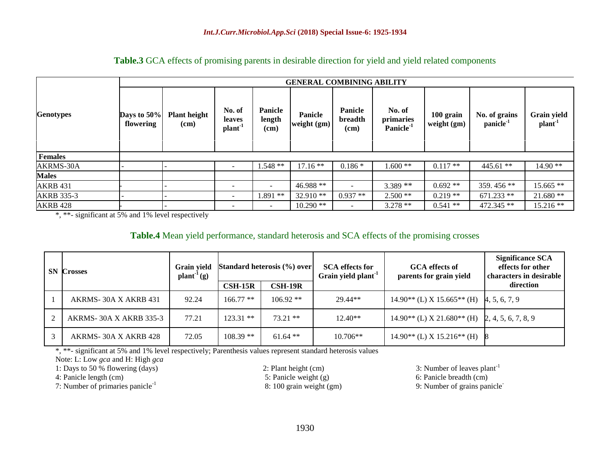|                   | <b>GENERAL COMBINING ABILITY</b> |                             |                                         |                           |                        |                            |                                             |                          |                                       |                                    |  |
|-------------------|----------------------------------|-----------------------------|-----------------------------------------|---------------------------|------------------------|----------------------------|---------------------------------------------|--------------------------|---------------------------------------|------------------------------------|--|
| <b>Genotypes</b>  | Days to 50%<br>flowering         | <b>Plant height</b><br>(cm) | No. of<br>leaves<br>plant <sup>-1</sup> | Panicle<br>length<br>(cm) | Panicle<br>weight (gm) | Panicle<br>breadth<br>(cm) | No. of<br>primaries<br>Panicle <sup>1</sup> | 100 grain<br>weight (gm) | No. of grains<br>panicle <sup>1</sup> | Grain yield<br>plant <sup>-1</sup> |  |
| <b>Females</b>    |                                  |                             |                                         |                           |                        |                            |                                             |                          |                                       |                                    |  |
| AKRMS-30A         |                                  |                             |                                         | $1.548**$                 | $17.16**$              | $0.186*$                   | $1.600**$                                   | $0.117**$                | $445.61$ **                           | 14.90 **                           |  |
| <b>Males</b>      |                                  |                             |                                         |                           |                        |                            |                                             |                          |                                       |                                    |  |
| <b>AKRB 431</b>   |                                  |                             |                                         |                           | 46.988 **              |                            | $3.389**$                                   | $0.692**$                | 359.456 **                            | $15.665$ **                        |  |
| <b>AKRB 335-3</b> |                                  |                             | $\overline{\phantom{0}}$                | $1.891**$                 | $32.910**$             | $0.937**$                  | $2.500**$                                   | $0.219**$                | $671.233$ **                          | $21.680**$                         |  |
| <b>AKRB 428</b>   |                                  |                             | $\overline{\phantom{0}}$                | $\overline{\phantom{a}}$  | $10.290**$             |                            | $3.278**$                                   | $0.541**$                | 472.345 **                            | 15.216 **                          |  |

#### **Table.3** GCA effects of promising parents in desirable direction for yield and yield related components

\*, \*\*- significant at 5% and 1% level respectively

#### **Table.4** Mean yield performance, standard heterosis and SCA effects of the promising crosses

| SN. | <b>Crosses</b>                | Grain yield<br>$plant^{-1}(g)$ | Standard heterosis (%) over |                  | <b>SCA</b> effects for<br>Grain yield plant <sup>1</sup> | <b>GCA</b> effects of<br>parents for grain yield                 | <b>Significance SCA</b><br>effects for other<br>characters in desirable |  |
|-----|-------------------------------|--------------------------------|-----------------------------|------------------|----------------------------------------------------------|------------------------------------------------------------------|-------------------------------------------------------------------------|--|
|     |                               |                                | $\text{CSH-15R}$            | $\text{CSH-19R}$ |                                                          |                                                                  | direction                                                               |  |
|     | AKRMS-30A X AKRB 431          | 92.24                          | $166.77$ **                 | $106.92**$       | 29.44**                                                  | $14.90^{**}$ (L) X 15.665 <sup>**</sup> (H) $\,\,$ 4, 5, 6, 7, 9 |                                                                         |  |
|     | <b>AKRMS-30A X AKRB 335-3</b> | 77.21                          | $123.31$ **                 | $73.21$ **       | $12.40**$                                                | $14.90**$ (L) X 21.680 <sup>**</sup> (H) 2, 4, 5, 6, 7, 8, 9     |                                                                         |  |
|     | AKRMS-30A X AKRB 428          | 72.05                          | $108.39**$                  | $61.64$ **       | $10.706**$                                               | $14.90**$ (L) X $15.216**$ (H)                                   |                                                                         |  |

\*, \*\*- significant at 5% and 1% level respectively; Parenthesis values represent standard heterosis values

Note: L: Low *gca* and H: High *gca*

1: Days to 50 % flowering (days) 2: Plant height (cm) 3: Number of leaves plant<sup>-1</sup>

7: Number of primaries panicle-1

4: Panicle length (cm)<br>
5: Panicle weight (g) 6: Panicle breadth (cm)<br>
6: Panicle breadth (cm)<br>
9: Number of primaries panicle<sup>-1</sup><br>
8: 100 grain weight (gm) 9: Number of grains pan 9: Number of grains panicle<sup>-</sup>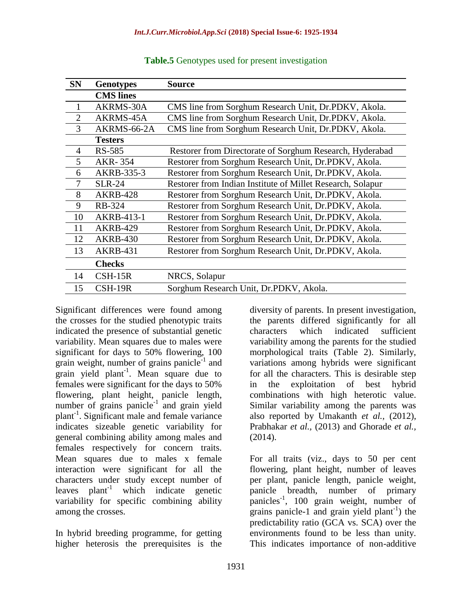| <b>SN</b>      | <b>Genotypes</b> | Source                                                     |
|----------------|------------------|------------------------------------------------------------|
|                | <b>CMS</b> lines |                                                            |
| 1              | AKRMS-30A        | CMS line from Sorghum Research Unit, Dr.PDKV, Akola.       |
| $\overline{2}$ | AKRMS-45A        | CMS line from Sorghum Research Unit, Dr.PDKV, Akola.       |
| 3              | AKRMS-66-2A      | CMS line from Sorghum Research Unit, Dr.PDKV, Akola.       |
|                | <b>Testers</b>   |                                                            |
| $\overline{4}$ | <b>RS-585</b>    | Restorer from Directorate of Sorghum Research, Hyderabad   |
| 5              | AKR-354          | Restorer from Sorghum Research Unit, Dr.PDKV, Akola.       |
| 6              | AKRB-335-3       | Restorer from Sorghum Research Unit, Dr.PDKV, Akola.       |
| 7              | <b>SLR-24</b>    | Restorer from Indian Institute of Millet Research, Solapur |
| 8              | <b>AKRB-428</b>  | Restorer from Sorghum Research Unit, Dr.PDKV, Akola.       |
| 9              | <b>RB-324</b>    | Restorer from Sorghum Research Unit, Dr.PDKV, Akola.       |
| 10             | AKRB-413-1       | Restorer from Sorghum Research Unit, Dr.PDKV, Akola.       |
| 11             | <b>AKRB-429</b>  | Restorer from Sorghum Research Unit, Dr.PDKV, Akola.       |
| 12             | <b>AKRB-430</b>  | Restorer from Sorghum Research Unit, Dr.PDKV, Akola.       |
| 13             | <b>AKRB-431</b>  | Restorer from Sorghum Research Unit, Dr.PDKV, Akola.       |
|                | <b>Checks</b>    |                                                            |
| 14             | $CSH-15R$        | NRCS, Solapur                                              |
| 15             | CSH-19R          | Sorghum Research Unit, Dr.PDKV, Akola.                     |

**Table.5** Genotypes used for present investigation

Significant differences were found among the crosses for the studied phenotypic traits indicated the presence of substantial genetic variability. Mean squares due to males were significant for days to 50% flowering, 100 grain weight, number of grains panicle<sup>-1</sup> and grain yield plant<sup>-1</sup>. Mean square due to females were significant for the days to 50% flowering, plant height, panicle length, number of grains panicle<sup>-1</sup> and grain yield plant-1 . Significant male and female variance indicates sizeable genetic variability for general combining ability among males and females respectively for concern traits. Mean squares due to males x female interaction were significant for all the characters under study except number of leaves  $\mathbf{plant}^{-1}$  which indicate genetic variability for specific combining ability among the crosses.

In hybrid breeding programme, for getting higher heterosis the prerequisites is the

diversity of parents. In present investigation, the parents differed significantly for all characters which indicated sufficient variability among the parents for the studied morphological traits (Table 2). Similarly, variations among hybrids were significant for all the characters. This is desirable step in the exploitation of best hybrid combinations with high heterotic value. Similar variability among the parents was also reported by Umakanth *et al.,* (2012), Prabhakar *et al.,* (2013) and Ghorade *et al.,*  $(2014).$ 

For all traits (viz., days to 50 per cent flowering, plant height, number of leaves per plant, panicle length, panicle weight, panicle breadth, number of primary panicles-1 , 100 grain weight, number of grains panicle-1 and grain yield plant<sup>-1</sup>) the predictability ratio (GCA vs. SCA) over the environments found to be less than unity. This indicates importance of non-additive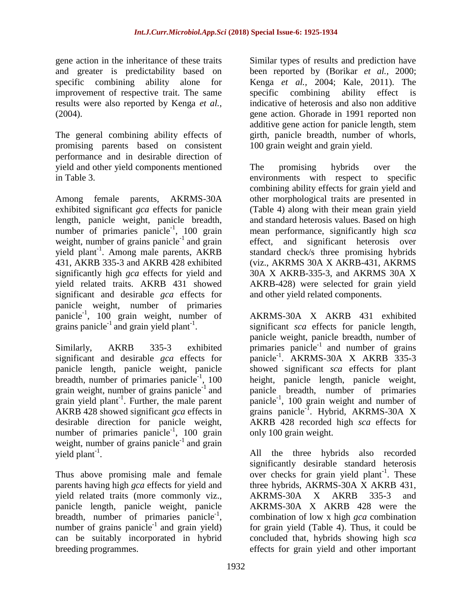gene action in the inheritance of these traits and greater is predictability based on specific combining ability alone for improvement of respective trait. The same results were also reported by Kenga *et al.,* (2004).

The general combining ability effects of promising parents based on consistent performance and in desirable direction of yield and other yield components mentioned in Table 3.

Among female parents, AKRMS-30A exhibited significant *gca* effects for panicle length, panicle weight, panicle breadth, number of primaries panicle<sup>-1</sup>, 100 grain weight, number of grains panicle $^{-1}$  and grain yield plant<sup>-1</sup>. Among male parents, AKRB 431, AKRB 335-3 and AKRB 428 exhibited significantly high *gca* effects for yield and yield related traits. AKRB 431 showed significant and desirable *gca* effects for panicle weight, number of primaries panicle<sup>-1</sup>, 100 grain weight, number of grains panicle<sup>-1</sup> and grain yield plant<sup>-1</sup>.

Similarly, AKRB 335-3 exhibited significant and desirable *gca* effects for panicle length, panicle weight, panicle breadth, number of primaries panicle<sup>-1</sup>, 100 grain weight, number of grains panicle<sup>-1</sup> and grain yield plant<sup>-1</sup>. Further, the male parent AKRB 428 showed significant *gca* effects in desirable direction for panicle weight, number of primaries panicle<sup>-1</sup>, 100 grain weight, number of grains panicle $^{-1}$  and grain yield plant<sup>-1</sup>.

Thus above promising male and female parents having high *gca* effects for yield and yield related traits (more commonly viz., panicle length, panicle weight, panicle breadth, number of primaries panicle<sup>-1</sup>, number of grains panicle<sup>-1</sup> and grain yield) can be suitably incorporated in hybrid breeding programmes.

Similar types of results and prediction have been reported by (Borikar *et al.,* 2000; Kenga *et al.,* 2004; Kale, 2011). The specific combining ability effect is indicative of heterosis and also non additive gene action. Ghorade in 1991 reported non additive gene action for panicle length, stem girth, panicle breadth, number of whorls, 100 grain weight and grain yield.

The promising hybrids over the environments with respect to specific combining ability effects for grain yield and other morphological traits are presented in (Table 4) along with their mean grain yield and standard heterosis values. Based on high mean performance, significantly high *sca* effect, and significant heterosis over standard check/s three promising hybrids (viz., AKRMS 30A X AKRB-431, AKRMS 30A X AKRB-335-3, and AKRMS 30A X AKRB-428) were selected for grain yield and other yield related components.

AKRMS-30A X AKRB 431 exhibited significant *sca* effects for panicle length, panicle weight, panicle breadth, number of primaries panicle $^{-1}$  and number of grains panicle<sup>-1</sup>. AKRMS-30A X AKRB 335-3 showed significant *sca* effects for plant height, panicle length, panicle weight, panicle breadth, number of primaries panicle $^{-1}$ , 100 grain weight and number of grains panicle<sup>-1</sup>. Hybrid, AKRMS-30A X AKRB 428 recorded high *sca* effects for only 100 grain weight.

All the three hybrids also recorded significantly desirable standard heterosis over checks for grain yield plant<sup>-1</sup>. These three hybrids, AKRMS-30A X AKRB 431, AKRMS-30A X AKRB 335-3 and AKRMS-30A X AKRB 428 were the combination of low x high *gca* combination for grain yield (Table 4). Thus, it could be concluded that, hybrids showing high *sca* effects for grain yield and other important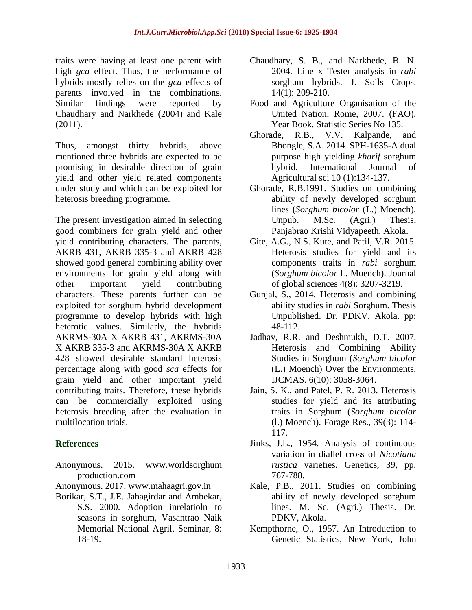traits were having at least one parent with high *gca* effect. Thus, the performance of hybrids mostly relies on the *gca* effects of parents involved in the combinations. Similar findings were reported by Chaudhary and Narkhede (2004) and Kale (2011).

Thus, amongst thirty hybrids, above mentioned three hybrids are expected to be promising in desirable direction of grain yield and other yield related components under study and which can be exploited for heterosis breeding programme.

The present investigation aimed in selecting good combiners for grain yield and other yield contributing characters. The parents, AKRB 431, AKRB 335-3 and AKRB 428 showed good general combining ability over environments for grain yield along with other important yield contributing characters. These parents further can be exploited for sorghum hybrid development programme to develop hybrids with high heterotic values. Similarly, the hybrids AKRMS-30A X AKRB 431, AKRMS-30A X AKRB 335-3 and AKRMS-30A X AKRB 428 showed desirable standard heterosis percentage along with good *sca* effects for grain yield and other important yield contributing traits. Therefore, these hybrids can be commercially exploited using heterosis breeding after the evaluation in multilocation trials.

### **References**

Anonymous. 2015. www.worldsorghum production.com

Anonymous. 2017. [www.mahaagri.gov.in](http://www.mahaagri.gov.in/)

Borikar, S.T., J.E. Jahagirdar and Ambekar, S.S. 2000. Adoption inrelatioln to seasons in sorghum, Vasantrao Naik Memorial National Agril. Seminar, 8: 18-19.

- Chaudhary, S. B., and Narkhede, B. N. 2004. Line x Tester analysis in *rabi*  sorghum hybrids. J. Soils Crops. 14(1): 209-210.
- Food and Agriculture Organisation of the United Nation, Rome, 2007. (FAO), Year Book. Statistic Series No 135.
- Ghorade, R.B., V.V. Kalpande, and Bhongle, S.A. 2014. SPH-1635-A dual purpose high yielding *kharif* sorghum hybrid. International Journal of Agricultural sci 10 (1):134-137.
- Ghorade, R.B.1991. Studies on combining ability of newly developed sorghum lines (*Sorghum bicolor* (L.) Moench). Unpub. M.Sc. (Agri.) Thesis, Panjabrao Krishi Vidyapeeth, Akola.
- Gite, A.G., N.S. Kute, and Patil, V.R. 2015. Heterosis studies for yield and its components traits in *rabi* sorghum (*Sorghum bicolor* L. Moench). Journal of global sciences 4(8): 3207-3219.
- Gunjal, S., 2014. Heterosis and combining ability studies in *rabi* Sorghum. Thesis Unpublished. Dr. PDKV, Akola. pp: 48-112.
- Jadhav, R.R. and Deshmukh, D.T. 2007. Heterosis and Combining Ability Studies in Sorghum (*Sorghum bicolor* (L.) Moench) Over the Environments. IJCMAS. 6(10): 3058-3064.
- Jain, S. K., and Patel, P. R. 2013. Heterosis studies for yield and its attributing traits in Sorghum (*Sorghum bicolor* (l.) Moench). Forage Res., 39(3): 114- 117.
- Jinks, J.L., 1954. Analysis of continuous variation in diallel cross of *Nicotiana rustica* varieties. Genetics, 39, pp. 767-788.
- Kale, P.B., 2011. Studies on combining ability of newly developed sorghum lines. M. Sc. (Agri.) Thesis. Dr. PDKV, Akola.
- Kempthorne, O., 1957. An Introduction to Genetic Statistics, New York, John